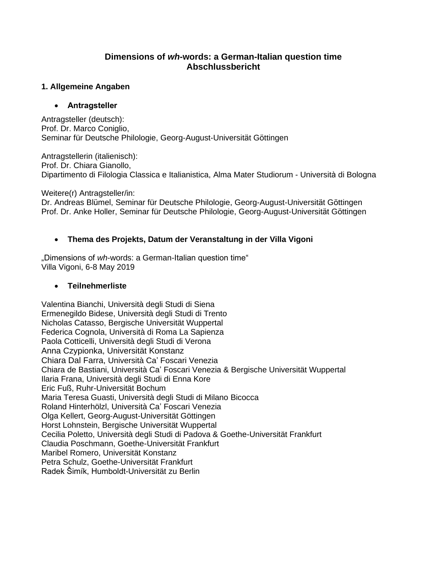# **Dimensions of** *wh***-words: a German-Italian question time Abschlussbericht**

## **1. Allgemeine Angaben**

#### • **Antragsteller**

Antragsteller (deutsch): Prof. Dr. Marco Coniglio, Seminar für Deutsche Philologie, Georg-August-Universität Göttingen

Antragstellerin (italienisch): Prof. Dr. Chiara Gianollo, Dipartimento di Filologia Classica e Italianistica, Alma Mater Studiorum - Università di Bologna

Weitere(r) Antragsteller/in:

Dr. Andreas Blümel, Seminar für Deutsche Philologie, Georg-August-Universität Göttingen Prof. Dr. Anke Holler, Seminar für Deutsche Philologie, Georg-August-Universität Göttingen

## • **Thema des Projekts, Datum der Veranstaltung in der Villa Vigoni**

"Dimensions of *wh*-words: a German-Italian question time" Villa Vigoni, 6-8 May 2019

### • **Teilnehmerliste**

Valentina Bianchi, Università degli Studi di Siena Ermenegildo Bidese, Università degli Studi di Trento Nicholas Catasso, Bergische Universität Wuppertal Federica Cognola, Università di Roma La Sapienza Paola Cotticelli, Università degli Studi di Verona Anna Czypionka, Universität Konstanz Chiara Dal Farra, Università Ca' Foscari Venezia Chiara de Bastiani, Università Ca' Foscari Venezia & Bergische Universität Wuppertal Ilaria Frana, Università degli Studi di Enna Kore Eric Fuß, Ruhr-Universität Bochum Maria Teresa Guasti, Università degli Studi di Milano Bicocca Roland Hinterhölzl, Università Ca' Foscari Venezia Olga Kellert, Georg-August-Universität Göttingen Horst Lohnstein, Bergische Universität Wuppertal Cecilia Poletto, Università degli Studi di Padova & Goethe-Universität Frankfurt Claudia Poschmann, Goethe-Universität Frankfurt Maribel Romero, Universität Konstanz Petra Schulz, Goethe-Universität Frankfurt Radek Šimík, Humboldt-Universität zu Berlin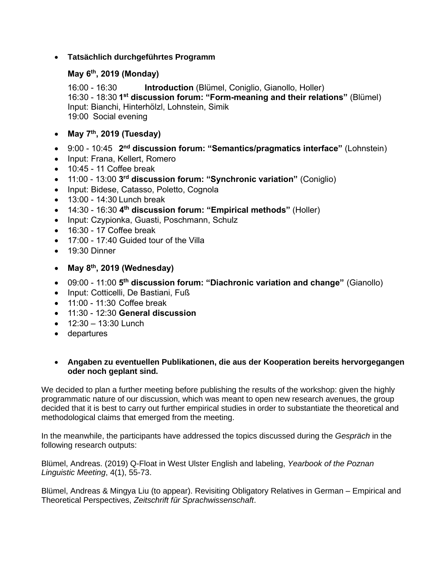# • **Tatsächlich durchgeführtes Programm**

# **May 6th, 2019 (Monday)**

16:00 - 16:30 **Introduction** (Blümel, Coniglio, Gianollo, Holler) 16:30 - 18:30 **1 st discussion forum: "Form-meaning and their relations"** (Blümel) Input: Bianchi, Hinterhölzl, Lohnstein, Simik 19:00 Social evening

- **May 7th, 2019 (Tuesday)**
- 9:00 10:45 2<sup>nd</sup> discussion forum: "Semantics/pragmatics interface" (Lohnstein)
- Input: Frana, Kellert, Romero
- 10:45 11 Coffee break
- 11:00 13:00 **3 rd discussion forum: "Synchronic variation"** (Coniglio)
- Input: Bidese, Catasso, Poletto, Cognola
- 13:00 14:30 Lunch break
- 14:30 16:30 **4 th discussion forum: "Empirical methods"** (Holler)
- Input: Czypionka, Guasti, Poschmann, Schulz
- 16:30 17 Coffee break
- 17:00 17:40 Guided tour of the Villa
- 19:30 Dinner
- **May 8th, 2019 (Wednesday)**
- 09:00 11:00 **5 th discussion forum: "Diachronic variation and change"** (Gianollo)
- Input: Cotticelli, De Bastiani, Fuß
- 11:00 11:30 Coffee break
- 11:30 12:30 **General discussion**
- $12:30 13:30$  Lunch
- departures

#### • **Angaben zu eventuellen Publikationen, die aus der Kooperation bereits hervorgegangen oder noch geplant sind.**

We decided to plan a further meeting before publishing the results of the workshop: given the highly programmatic nature of our discussion, which was meant to open new research avenues, the group decided that it is best to carry out further empirical studies in order to substantiate the theoretical and methodological claims that emerged from the meeting.

In the meanwhile, the participants have addressed the topics discussed during the *Gespräch* in the following research outputs:

Blümel, Andreas. (2019) Q-Float in West Ulster English and labeling, *Yearbook of the Poznan Linguistic Meeting*, 4(1), 55-73.

Blümel, Andreas & Mingya Liu (to appear). Revisiting Obligatory Relatives in German – Empirical and Theoretical Perspectives, *Zeitschrift für Sprachwissenschaft*.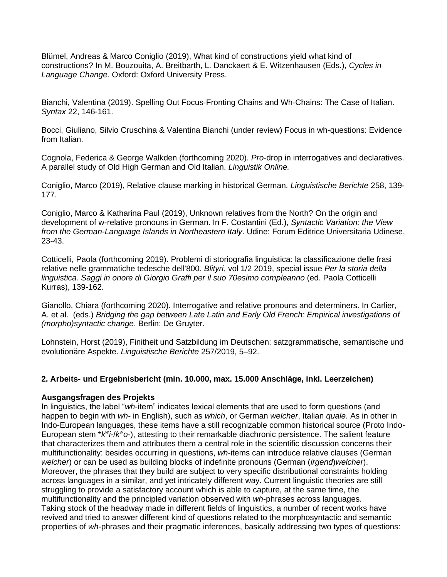Blümel, Andreas & Marco Coniglio (2019), What kind of constructions yield what kind of constructions? In M. Bouzouita, A. Breitbarth, L. Danckaert & E. Witzenhausen (Eds.), *Cycles in Language Change*. Oxford: Oxford University Press.

Bianchi, Valentina (2019). Spelling Out Focus‐Fronting Chains and Wh‐Chains: The Case of Italian. *Syntax* 22, 146-161.

Bocci, Giuliano, Silvio Cruschina & Valentina Bianchi (under review) Focus in wh-questions: Evidence from Italian.

Cognola, Federica & George Walkden (forthcoming 2020). *Pro*-drop in interrogatives and declaratives. A parallel study of Old High German and Old Italian. *Linguistik Online.*

Coniglio, Marco (2019), Relative clause marking in historical German. *Linguistische Berichte* 258, 139- 177.

Coniglio, Marco & Katharina Paul (2019), Unknown relatives from the North? On the origin and development of w-relative pronouns in German. In F. Costantini (Ed.), *Syntactic Variation: the View from the German-Language Islands in Northeastern Italy*. Udine: Forum Editrice Universitaria Udinese, 23-43.

Cotticelli, Paola (forthcoming 2019). Problemi di storiografia linguistica: la classificazione delle frasi relative nelle grammatiche tedesche dell'800. *Blityri*, vol 1/2 2019, special issue *Per la storia della linguistica. Saggi in onore di Giorgio Graffi per il suo 70esimo compleanno* (ed. Paola Cotticelli Kurras), 139-162.

Gianollo, Chiara (forthcoming 2020). Interrogative and relative pronouns and determiners. In Carlier, A. et al. (eds.) *Bridging the gap between Late Latin and Early Old French: Empirical investigations of (morpho)syntactic change*. Berlin: De Gruyter.

Lohnstein, Horst (2019), Finitheit und Satzbildung im Deutschen: satzgrammatische, semantische und evolutionäre Aspekte. *Linguistische Berichte* 257/2019, 5–92.

## **2. Arbeits- und Ergebnisbericht (min. 10.000, max. 15.000 Anschläge, inkl. Leerzeichen)**

#### **Ausgangsfragen des Projekts**

In linguistics, the label "*wh*-item" indicates lexical elements that are used to form questions (and happen to begin with *wh-* in English), such as *which*, or German *welcher*, Italian *quale*. As in other in Indo-European languages, these items have a still recognizable common historical source (Proto Indo-European stem \**k<sup>w</sup>i-/k<sup>w</sup>o*-), attesting to their remarkable diachronic persistence. The salient feature that characterizes them and attributes them a central role in the scientific discussion concerns their multifunctionality: besides occurring in questions, *wh*-items can introduce relative clauses (German *welcher*) or can be used as building blocks of indefinite pronouns (German (*irgend*)*welcher*). Moreover, the phrases that they build are subject to very specific distributional constraints holding across languages in a similar, and yet intricately different way. Current linguistic theories are still struggling to provide a satisfactory account which is able to capture, at the same time, the multifunctionality and the principled variation observed with *wh*-phrases across languages. Taking stock of the headway made in different fields of linguistics, a number of recent works have revived and tried to answer different kind of questions related to the morphosyntactic and semantic properties of *wh*-phrases and their pragmatic inferences, basically addressing two types of questions: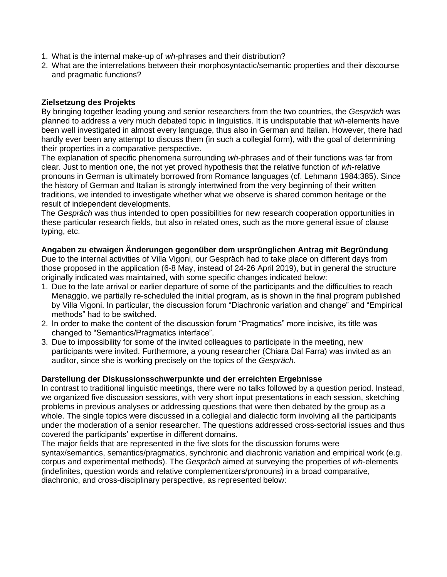- 1. What is the internal make-up of *wh*-phrases and their distribution?
- 2. What are the interrelations between their morphosyntactic/semantic properties and their discourse and pragmatic functions?

### **Zielsetzung des Projekts**

By bringing together leading young and senior researchers from the two countries, the *Gespräch* was planned to address a very much debated topic in linguistics. It is undisputable that *wh*-elements have been well investigated in almost every language, thus also in German and Italian. However, there had hardly ever been any attempt to discuss them (in such a collegial form), with the goal of determining their properties in a comparative perspective.

The explanation of specific phenomena surrounding *wh*-phrases and of their functions was far from clear. Just to mention one, the not yet proved hypothesis that the relative function of *wh*-relative pronouns in German is ultimately borrowed from Romance languages (cf. Lehmann 1984:385). Since the history of German and Italian is strongly intertwined from the very beginning of their written traditions, we intended to investigate whether what we observe is shared common heritage or the result of independent developments.

The *Gespräch* was thus intended to open possibilities for new research cooperation opportunities in these particular research fields, but also in related ones, such as the more general issue of clause typing, etc.

#### **Angaben zu etwaigen Änderungen gegenüber dem ursprünglichen Antrag mit Begründung**

Due to the internal activities of Villa Vigoni, our Gespräch had to take place on different days from those proposed in the application (6-8 May, instead of 24-26 April 2019), but in general the structure originally indicated was maintained, with some specific changes indicated below:

- 1. Due to the late arrival or earlier departure of some of the participants and the difficulties to reach Menaggio, we partially re-scheduled the initial program, as is shown in the final program published by Villa Vigoni. In particular, the discussion forum "Diachronic variation and change" and "Empirical methods" had to be switched.
- 2. In order to make the content of the discussion forum "Pragmatics" more incisive, its title was changed to "Semantics/Pragmatics interface".
- 3. Due to impossibility for some of the invited colleagues to participate in the meeting, new participants were invited. Furthermore, a young researcher (Chiara Dal Farra) was invited as an auditor, since she is working precisely on the topics of the *Gespräch*.

#### **Darstellung der Diskussionsschwerpunkte und der erreichten Ergebnisse**

In contrast to traditional linguistic meetings, there were no talks followed by a question period. Instead, we organized five discussion sessions, with very short input presentations in each session, sketching problems in previous analyses or addressing questions that were then debated by the group as a whole. The single topics were discussed in a collegial and dialectic form involving all the participants under the moderation of a senior researcher. The questions addressed cross-sectorial issues and thus covered the participants' expertise in different domains.

The major fields that are represented in the five slots for the discussion forums were syntax/semantics, semantics/pragmatics, synchronic and diachronic variation and empirical work (e.g. corpus and experimental methods). The *Gespräch* aimed at surveying the properties of *wh*-elements (indefinites, question words and relative complementizers/pronouns) in a broad comparative, diachronic, and cross-disciplinary perspective, as represented below: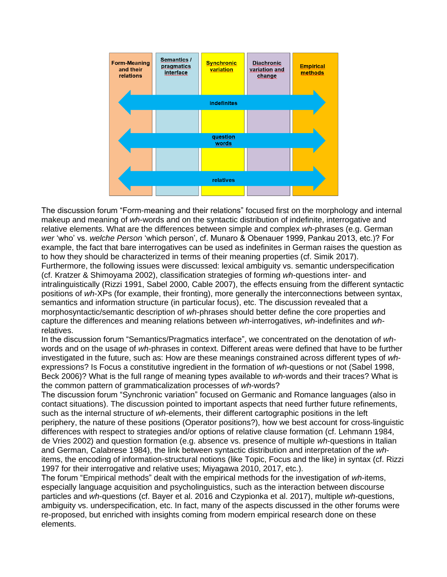

The discussion forum "Form-meaning and their relations" focused first on the morphology and internal makeup and meaning of *wh*-words and on the syntactic distribution of indefinite, interrogative and relative elements. What are the differences between simple and complex *wh*-phrases (e.g. German *wer* 'who' vs. *welche Person* 'which person', cf. Munaro & Obenauer 1999, Pankau 2013, etc.)? For example, the fact that bare interrogatives can be used as indefinites in German raises the question as to how they should be characterized in terms of their meaning properties (cf. Simik 2017). Furthermore, the following issues were discussed: lexical ambiguity vs. semantic underspecification (cf. Kratzer & Shimoyama 2002), classification strategies of forming *wh*-questions inter- and intralinguistically (Rizzi 1991, Sabel 2000, Cable 2007), the effects ensuing from the different syntactic positions of *wh*-XPs (for example, their fronting), more generally the interconnections between syntax, semantics and information structure (in particular focus), etc. The discussion revealed that a morphosyntactic/semantic description of *wh*-phrases should better define the core properties and capture the differences and meaning relations between *wh*-interrogatives, *wh*-indefinites and *wh*relatives.

In the discussion forum "Semantics/Pragmatics interface", we concentrated on the denotation of *wh*words and on the usage of *wh*-phrases in context. Different areas were defined that have to be further investigated in the future, such as: How are these meanings constrained across different types of *wh*expressions? Is Focus a constitutive ingredient in the formation of *wh*-questions or not (Sabel 1998, Beck 2006)? What is the full range of meaning types available to *wh*-words and their traces? What is the common pattern of grammaticalization processes of *wh*-words?

The discussion forum "Synchronic variation" focused on Germanic and Romance languages (also in contact situations). The discussion pointed to important aspects that need further future refinements, such as the internal structure of *wh*-elements, their different cartographic positions in the left periphery, the nature of these positions (Operator positions?), how we best account for cross-linguistic differences with respect to strategies and/or options of relative clause formation (cf. Lehmann 1984, de Vries 2002) and question formation (e.g. absence vs. presence of multiple *wh*-questions in Italian and German, Calabrese 1984), the link between syntactic distribution and interpretation of the *wh*items, the encoding of information-structural notions (like Topic, Focus and the like) in syntax (cf. Rizzi 1997 for their interrogative and relative uses; Miyagawa 2010, 2017, etc.).

The forum "Empirical methods" dealt with the empirical methods for the investigation of *wh*-items, especially language acquisition and psycholinguistics, such as the interaction between discourse particles and *wh*-questions (cf. Bayer et al. 2016 and Czypionka et al. 2017), multiple *wh*-questions, ambiguity vs. underspecification, etc. In fact, many of the aspects discussed in the other forums were re-proposed, but enriched with insights coming from modern empirical research done on these elements.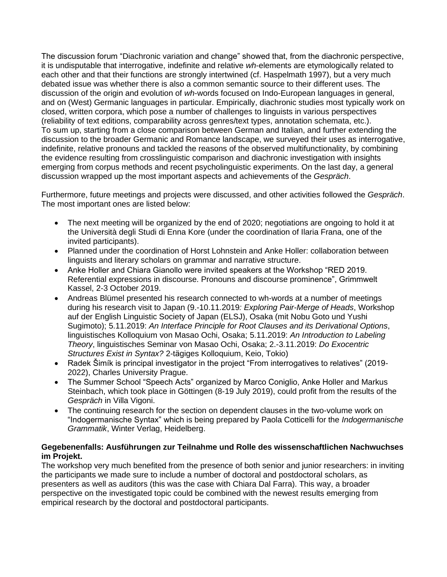The discussion forum "Diachronic variation and change" showed that, from the diachronic perspective, it is undisputable that interrogative, indefinite and relative *wh*-elements are etymologically related to each other and that their functions are strongly intertwined (cf. Haspelmath 1997), but a very much debated issue was whether there is also a common semantic source to their different uses. The discussion of the origin and evolution of *wh*-words focused on Indo-European languages in general, and on (West) Germanic languages in particular. Empirically, diachronic studies most typically work on closed, written corpora, which pose a number of challenges to linguists in various perspectives (reliability of text editions, comparability across genres/text types, annotation schemata, etc.). To sum up, starting from a close comparison between German and Italian, and further extending the discussion to the broader Germanic and Romance landscape, we surveyed their uses as interrogative, indefinite, relative pronouns and tackled the reasons of the observed multifunctionality, by combining the evidence resulting from crosslinguistic comparison and diachronic investigation with insights emerging from corpus methods and recent psycholinguistic experiments. On the last day, a general discussion wrapped up the most important aspects and achievements of the *Gespräch*.

Furthermore, future meetings and projects were discussed, and other activities followed the *Gespräch*. The most important ones are listed below:

- The next meeting will be organized by the end of 2020; negotiations are ongoing to hold it at the Università degli Studi di Enna Kore (under the coordination of Ilaria Frana, one of the invited participants).
- Planned under the coordination of Horst Lohnstein and Anke Holler: collaboration between linguists and literary scholars on grammar and narrative structure.
- Anke Holler and Chiara Gianollo were invited speakers at the Workshop "RED 2019. Referential expressions in discourse. Pronouns and discourse prominence", Grimmwelt Kassel, 2-3 October 2019.
- Andreas Blümel presented his research connected to wh-words at a number of meetings during his research visit to Japan (9.-10.11.2019*: Exploring Pair-Merge of Heads*, Workshop auf der English Linguistic Society of Japan (ELSJ), Osaka (mit Nobu Goto und Yushi Sugimoto); 5.11.2019: *An Interface Principle for Root Clauses and its Derivational Options*, linguistisches Kolloquium von Masao Ochi, Osaka; 5.11.2019: *An Introduction to Labeling Theory*, linguistisches Seminar von Masao Ochi, Osaka; 2.-3.11.2019: *Do Exocentric Structures Exist in Syntax?* 2-tägiges Kolloquium, Keio, Tokio)
- Radek Šimík is principal investigator in the project "From interrogatives to relatives" (2019- 2022), Charles University Prague.
- The Summer School "Speech Acts" organized by Marco Coniglio, Anke Holler and Markus Steinbach, which took place in Göttingen (8-19 July 2019), could profit from the results of the *Gespräch* in Villa Vigoni.
- The continuing research for the section on dependent clauses in the two-volume work on "Indogermanische Syntax" which is being prepared by Paola Cotticelli for the *Indogermanische Grammatik*, Winter Verlag, Heidelberg.

## **Gegebenenfalls: Ausführungen zur Teilnahme und Rolle des wissenschaftlichen Nachwuchses im Projekt.**

The workshop very much benefited from the presence of both senior and junior researchers: in inviting the participants we made sure to include a number of doctoral and postdoctoral scholars, as presenters as well as auditors (this was the case with Chiara Dal Farra). This way, a broader perspective on the investigated topic could be combined with the newest results emerging from empirical research by the doctoral and postdoctoral participants.